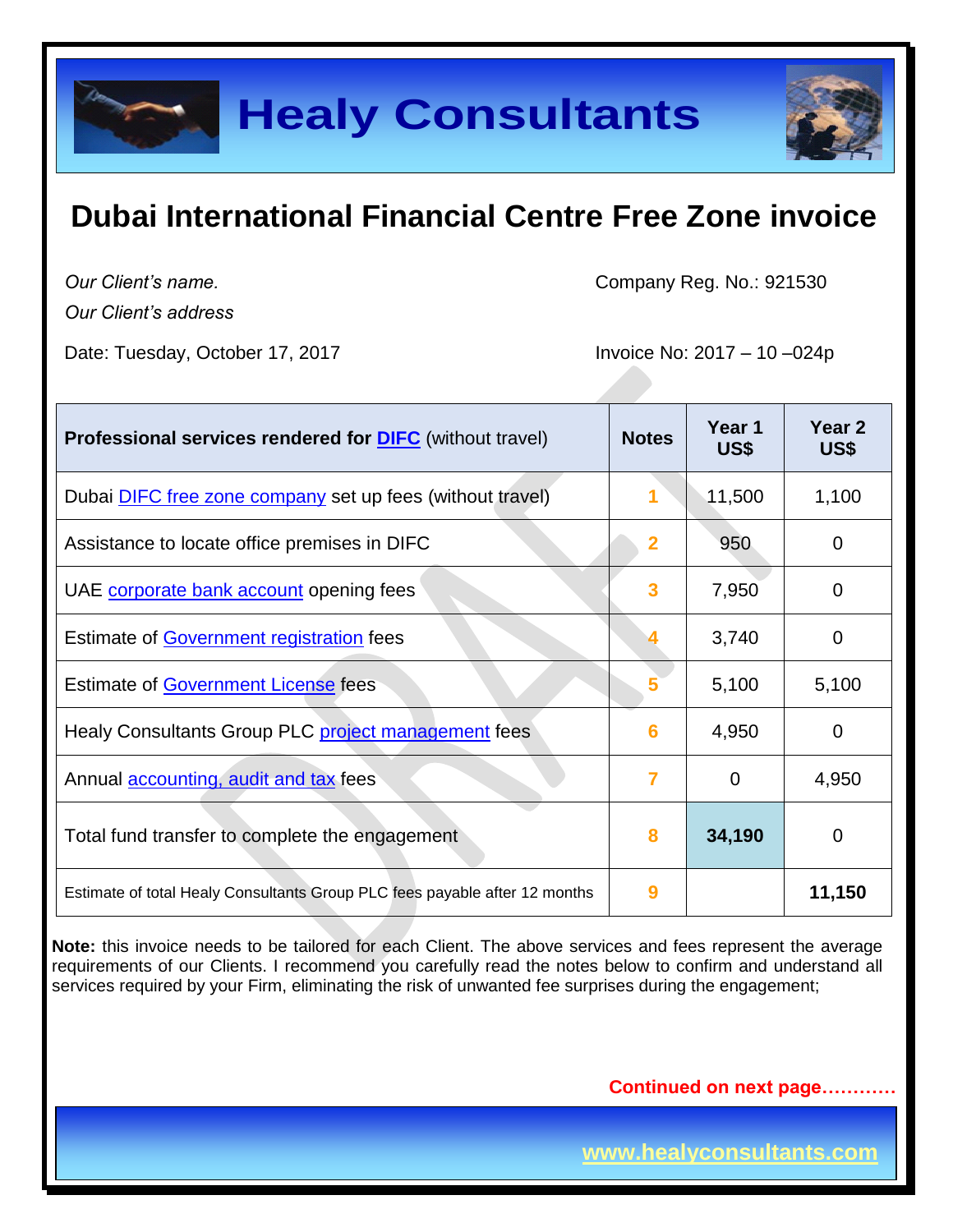

*Our Client's name.*

*Our Client's address*

Date: Tuesday, October 17, 2017 **Invoice No: 2017** - 10 -024p

Company Reg. No.: 921530

| <b>Professional services rendered for DIFC</b> (without travel)            | <b>Notes</b>            | Year 1<br>US\$ | Year 2<br>US\$ |
|----------------------------------------------------------------------------|-------------------------|----------------|----------------|
| Dubai <b>DIFC</b> free zone company set up fees (without travel)           |                         | 11,500         | 1,100          |
| Assistance to locate office premises in DIFC                               | $\overline{\mathbf{2}}$ | 950            | $\Omega$       |
| UAE corporate bank account opening fees                                    | 3                       | 7,950          | 0              |
| Estimate of Government registration fees                                   |                         | 3,740          | 0              |
| <b>Estimate of Government License fees</b>                                 |                         | 5,100          | 5,100          |
| Healy Consultants Group PLC project management fees                        | 6                       | 4,950          | 0              |
| Annual <b>accounting</b> , audit and tax fees                              | 7                       | 0              | 4,950          |
| Total fund transfer to complete the engagement                             | 8                       | 34,190         | 0              |
| Estimate of total Healy Consultants Group PLC fees payable after 12 months | 9                       |                | 11,150         |

**Note:** this invoice needs to be tailored for each Client. The above services and fees represent the average requirements of our Clients. I recommend you carefully read the notes below to confirm and understand all services required by your Firm, eliminating the risk of unwanted fee surprises during the engagement;

**Continued on next page…………**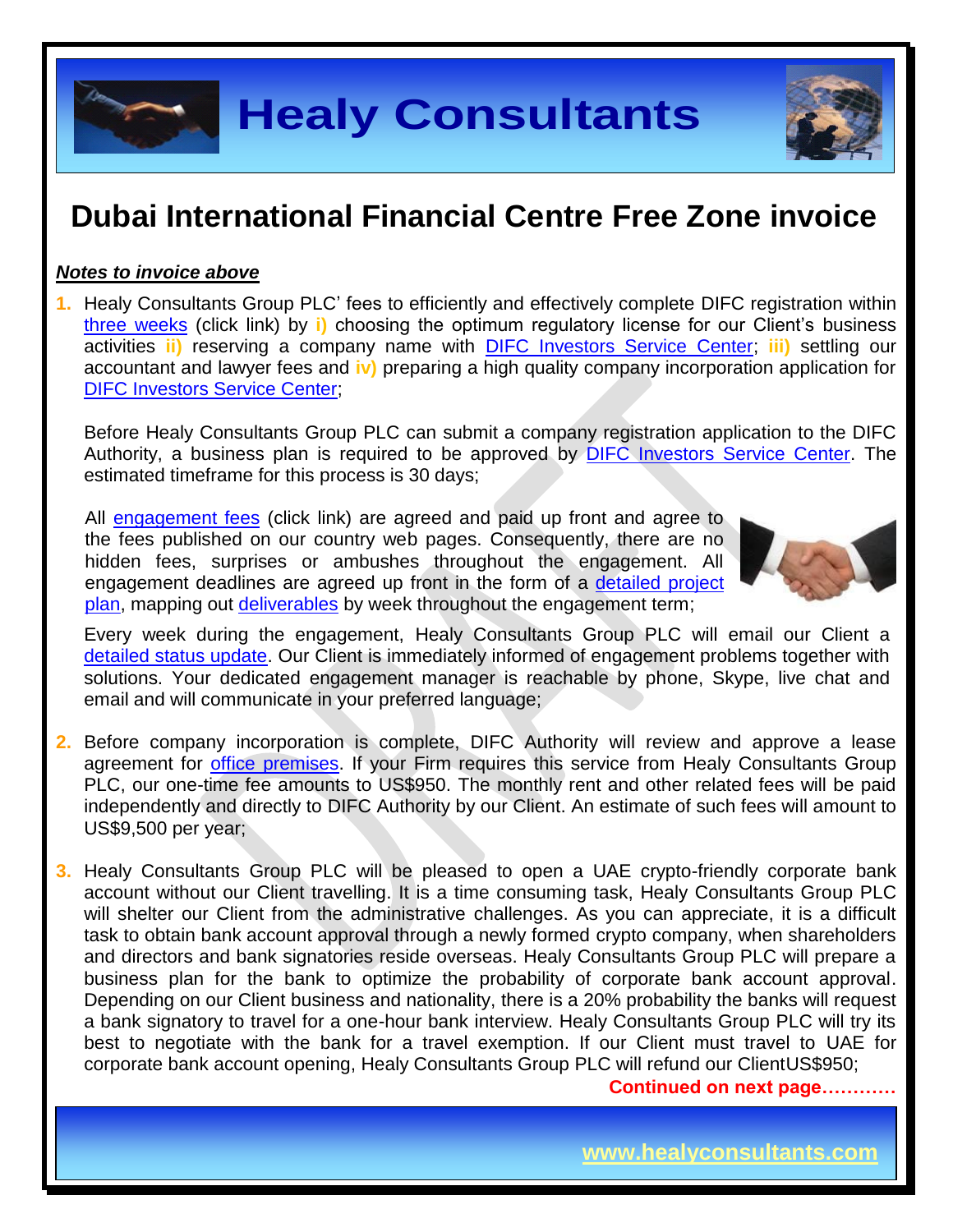

#### *Notes to invoice above*

**1.** Healy Consultants Group PLC' fees to efficiently and effectively complete DIFC registration within three [weeks](http://www.healyconsultants.com/uae-company-registration/fees-timelines/#timelines) (click link) by **i)** choosing the optimum regulatory license for our Client's business activities **ii)** reserving a company name with [DIFC Investors Service Center;](https://www.difc.ae/) **iii)** settling our accountant and lawyer fees and **iv)** preparing a high quality company incorporation application for [DIFC Investors Service Center;](https://www.difc.ae/)

Before Healy Consultants Group PLC can submit a company registration application to the DIFC Authority, a business plan is required to be approved by [DIFC Investors Service Center.](https://www.difc.ae/) The estimated timeframe for this process is 30 days;

All [engagement fees](http://www.healyconsultants.com/company-registration-fees/) (click link) are agreed and paid up front and agree to the fees published on our country web pages. Consequently, there are no hidden fees, surprises or ambushes throughout the engagement. All engagement deadlines are agreed up front in the form of a [detailed project](http://www.healyconsultants.com/index-important-links/example-project-plan/)  [plan,](http://www.healyconsultants.com/index-important-links/example-project-plan/) mapping out [deliverables](http://www.healyconsultants.com/deliverables-to-our-clients/) by week throughout the engagement term;



Every week during the engagement, Healy Consultants Group PLC will email our Client a [detailed status update.](http://www.healyconsultants.com/index-important-links/weekly-engagement-status-email/) Our Client is immediately informed of engagement problems together with solutions. Your dedicated engagement manager is reachable by phone, Skype, live chat and email and will communicate in your preferred language;

- **2.** Before company incorporation is complete, DIFC Authority will review and approve a lease agreement for [office premises.](http://www.healyconsultants.com/virtual-office/) If your Firm requires this service from Healy Consultants Group PLC, our one-time fee amounts to US\$950. The monthly rent and other related fees will be paid independently and directly to DIFC Authority by our Client. An estimate of such fees will amount to US\$9,500 per year;
- **3.** Healy Consultants Group PLC will be pleased to open a UAE crypto-friendly corporate bank account without our Client travelling. It is a time consuming task, Healy Consultants Group PLC will shelter our Client from the administrative challenges. As you can appreciate, it is a difficult task to obtain bank account approval through a newly formed crypto company, when shareholders and directors and bank signatories reside overseas. Healy Consultants Group PLC will prepare a business plan for the bank to optimize the probability of corporate bank account approval. Depending on our Client business and nationality, there is a 20% probability the banks will request a bank signatory to travel for a one-hour bank interview. Healy Consultants Group PLC will try its best to negotiate with the bank for a travel exemption. If our Client must travel to UAE for corporate bank account opening, Healy Consultants Group PLC will refund our ClientUS\$950;

**Continued on next page…………**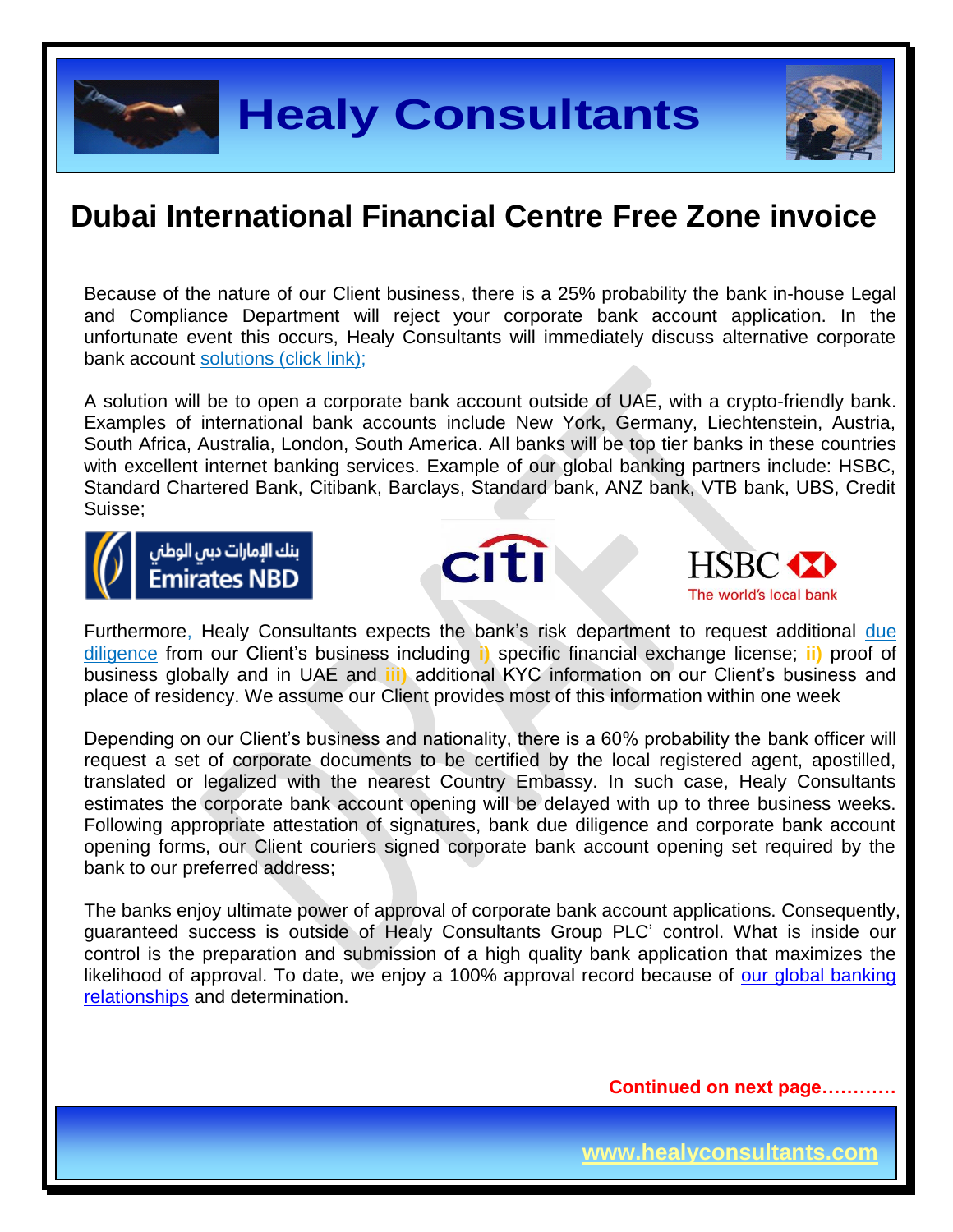

Because of the nature of our Client business, there is a 25% probability the bank in-house Legal and Compliance Department will reject your corporate bank account application. In the unfortunate event this occurs, Healy Consultants will immediately discuss alternative corporate bank account [solutions \(click link\);](http://www.healyconsultants.com/global-corporate-banking-for-resident-company/)

A solution will be to open a corporate bank account outside of UAE, with a crypto-friendly bank. Examples of international bank accounts include New York, Germany, Liechtenstein, Austria, South Africa, Australia, London, South America. All banks will be top tier banks in these countries with excellent internet banking services. Example of our global banking partners include: HSBC, Standard Chartered Bank, Citibank, Barclays, Standard bank, ANZ bank, VTB bank, UBS, Credit Suisse;







Furthermore, Healy Consultants expects the bank's risk department to request additional [due](http://www.healyconsultants.com/due-diligence/)  [diligence](http://www.healyconsultants.com/due-diligence/) from our Client's business including **i)** specific financial exchange license; **ii)** proof of business globally and in UAE and **iii)** additional KYC information on our Client's business and place of residency. We assume our Client provides most of this information within one week

Depending on our Client's business and nationality, there is a 60% probability the bank officer will request a set of corporate documents to be certified by the local registered agent, apostilled, translated or legalized with the nearest Country Embassy. In such case, Healy Consultants estimates the corporate bank account opening will be delayed with up to three business weeks. Following appropriate attestation of signatures, bank due diligence and corporate bank account opening forms, our Client couriers signed corporate bank account opening set required by the bank to our preferred address;

The banks enjoy ultimate power of approval of corporate bank account applications. Consequently, guaranteed success is outside of Healy Consultants Group PLC' control. What is inside our control is the preparation and submission of a high quality bank application that maximizes the likelihood of approval. To date, we enjoy a 100% approval record because of our global banking [relationships](http://www.healyconsultants.com/international-banking/corporate-accounts/) and determination.

**Continued on next page…………**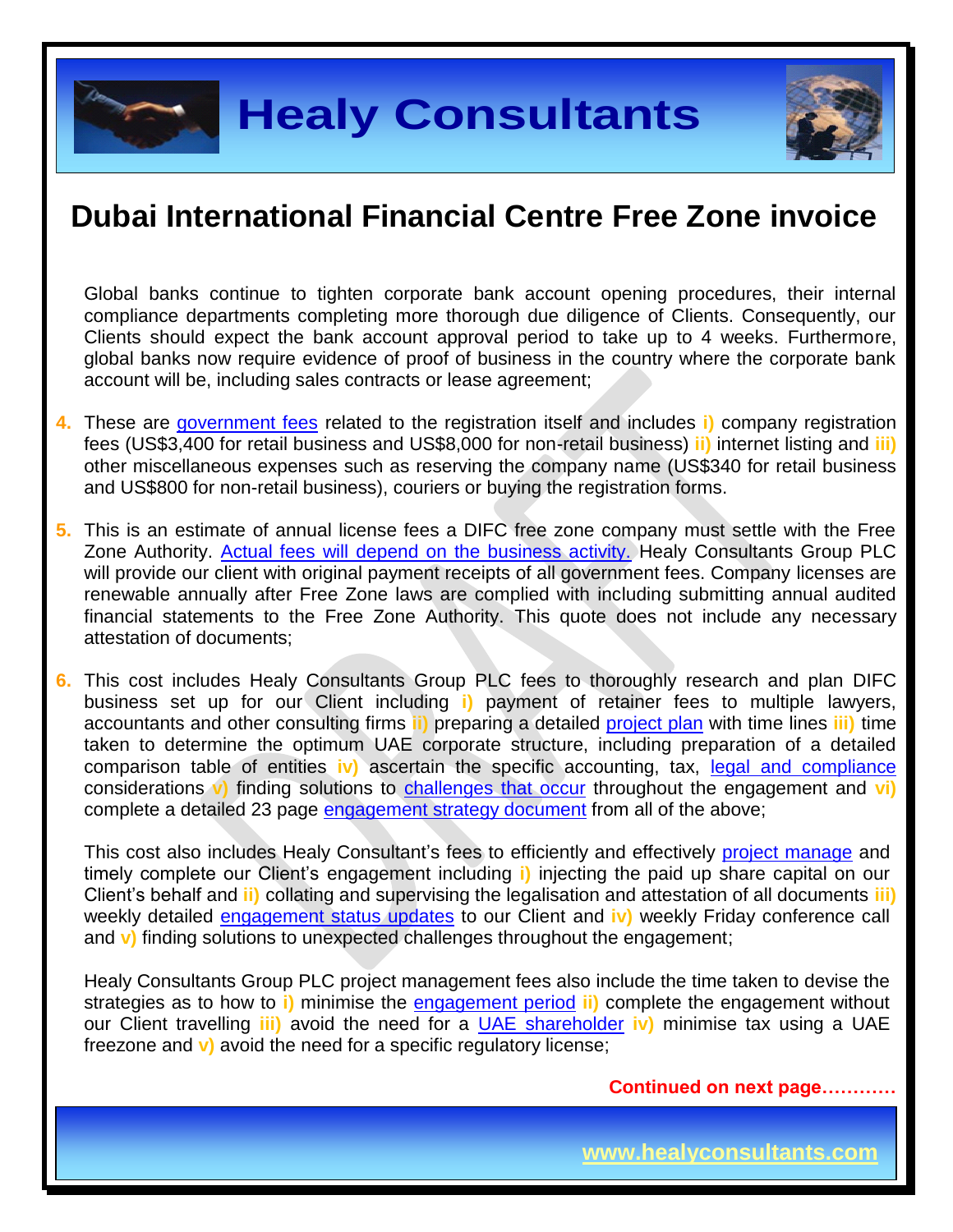Global banks continue to tighten corporate bank account opening procedures, their internal compliance departments completing more thorough due diligence of Clients. Consequently, our Clients should expect the bank account approval period to take up to 4 weeks. Furthermore, global banks now require evidence of proof of business in the country where the corporate bank account will be, including sales contracts or lease agreement;

- **4.** These are [government fees](https://www.difc.ae/files/2714/5499/7725/LLC-Incorporation-Handbook.pdf) related to the registration itself and includes **i)** company registration fees (US\$3,400 for retail business and US\$8,000 for non-retail business) **ii)** internet listing and **iii)** other miscellaneous expenses such as reserving the company name (US\$340 for retail business and US\$800 for non-retail business), couriers or buying the registration forms.
- **5.** This is an estimate of annual license fees a DIFC free zone company must settle with the Free Zone Authority. [Actual fees will depend on the business activity.](https://www.difc.ae/areas-business) Healy Consultants Group PLC will provide our client with original payment receipts of all government fees. Company licenses are renewable annually after Free Zone laws are complied with including submitting annual audited financial statements to the Free Zone Authority. This quote does not include any necessary attestation of documents;

**6.** This cost includes Healy Consultants Group PLC fees to thoroughly research and plan DIFC business set up for our Client including **i)** payment of retainer fees to multiple lawyers, accountants and other consulting firms **ii)** preparing a detailed [project plan](http://www.healyconsultants.com/index-important-links/example-project-plan/) with time lines **iii)** time taken to determine the optimum UAE corporate structure, including preparation of a detailed comparison table of entities **iv)** ascertain the specific accounting, tax, [legal and compliance](http://www.healyconsultants.com/about-us/key-personnel/cai-xin-profile/) considerations **v)** finding solutions to [challenges that occur](http://www.healyconsultants.com/engagement-project-management/) throughout the engagement and **vi)** complete a detailed 23 page [engagement strategy document](http://www.healyconsultants.com/engagement-strategy/) from all of the above;

This cost also includes Healy Consultant's fees to efficiently and effectively [project manage](http://www.healyconsultants.com/project-manage-engagements/) and timely complete our Client's engagement including **i)** injecting the paid up share capital on our Client's behalf and **ii)** collating and supervising the legalisation and attestation of all documents **iii)**  weekly detailed [engagement status updates](http://www.healyconsultants.com/index-important-links/weekly-engagement-status-email/) to our Client and **iv)** weekly Friday conference call and **v)** finding solutions to unexpected challenges throughout the engagement;

Healy Consultants Group PLC project management fees also include the time taken to devise the strategies as to how to **i)** minimise the [engagement period](http://www.healyconsultants.com/uae-company-registration/fees-timelines/#timelines) **ii)** complete the engagement without our Client travelling **iii)** avoid the need for a UAE [shareholder](http://www.healyconsultants.com/national-shareholder-services/) **iv)** minimise tax using a UAE freezone and **v)** avoid the need for a specific regulatory license;

**Continued on next page…………**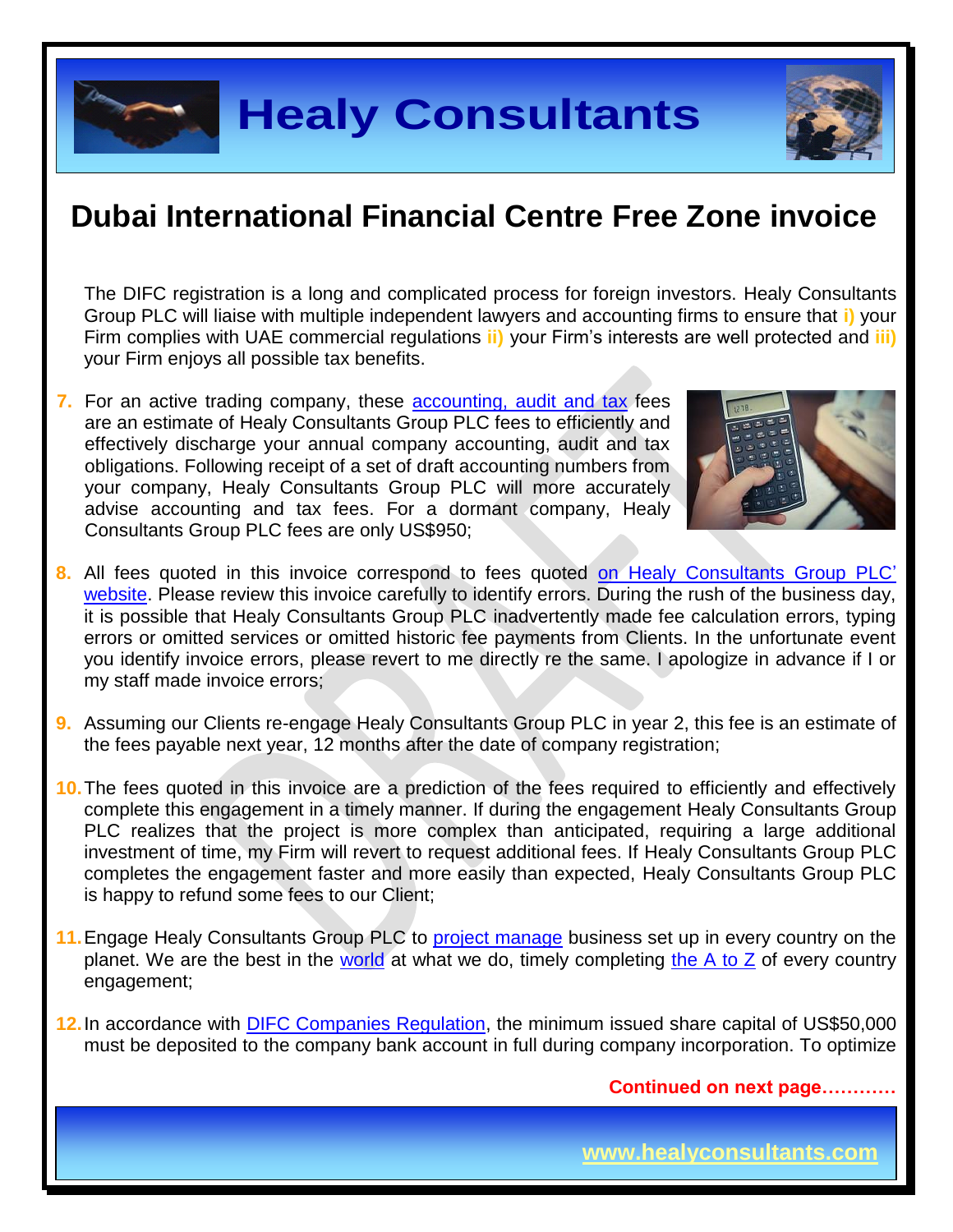

The DIFC registration is a long and complicated process for foreign investors. Healy Consultants Group PLC will liaise with multiple independent lawyers and accounting firms to ensure that **i)** your Firm complies with UAE commercial regulations **ii)** your Firm's interests are well protected and **iii)** your Firm enjoys all possible tax benefits.

**7.** For an active trading company, these [accounting, audit](http://www.healyconsultants.com/dubai-company-registration/accounting-legal/) and tax fees are an estimate of Healy Consultants Group PLC fees to efficiently and effectively discharge your annual company accounting, audit and tax obligations. Following receipt of a set of draft accounting numbers from your company, Healy Consultants Group PLC will more accurately advise accounting and tax fees. For a dormant company, Healy Consultants Group PLC fees are only US\$950;



- **8.** All fees quoted in this invoice correspond to fees quoted [on Healy Consultants Group PLC'](http://www.healyconsultants.com/company-registration-fees/)  [website.](http://www.healyconsultants.com/company-registration-fees/) Please review this invoice carefully to identify errors. During the rush of the business day, it is possible that Healy Consultants Group PLC inadvertently made fee calculation errors, typing errors or omitted services or omitted historic fee payments from Clients. In the unfortunate event you identify invoice errors, please revert to me directly re the same. I apologize in advance if I or my staff made invoice errors;
- **9.** Assuming our Clients re-engage Healy Consultants Group PLC in year 2, this fee is an estimate of the fees payable next year, 12 months after the date of company registration;
- **10.**The fees quoted in this invoice are a prediction of the fees required to efficiently and effectively complete this engagement in a timely manner. If during the engagement Healy Consultants Group PLC realizes that the project is more complex than anticipated, requiring a large additional investment of time, my Firm will revert to request additional fees. If Healy Consultants Group PLC completes the engagement faster and more easily than expected, Healy Consultants Group PLC is happy to refund some fees to our Client;
- **11.**Engage Healy Consultants Group PLC to [project manage](http://www.healyconsultants.com/project-manage-engagements/) business set up in every country on the planet. We are the best in the [world](http://www.healyconsultants.com/best-in-the-world/) at what we do, timely completing [the A to Z](http://www.healyconsultants.com/a-to-z-of-business-set-up/) of every country engagement;
- **12.**In accordance with [DIFC Companies Regulation,](https://www.difc.ae/files/5914/5449/6592/Companies_Regulations.pdf) the minimum issued share capital of US\$50,000 must be deposited to the company bank account in full during company incorporation. To optimize

**Continued on next page…………**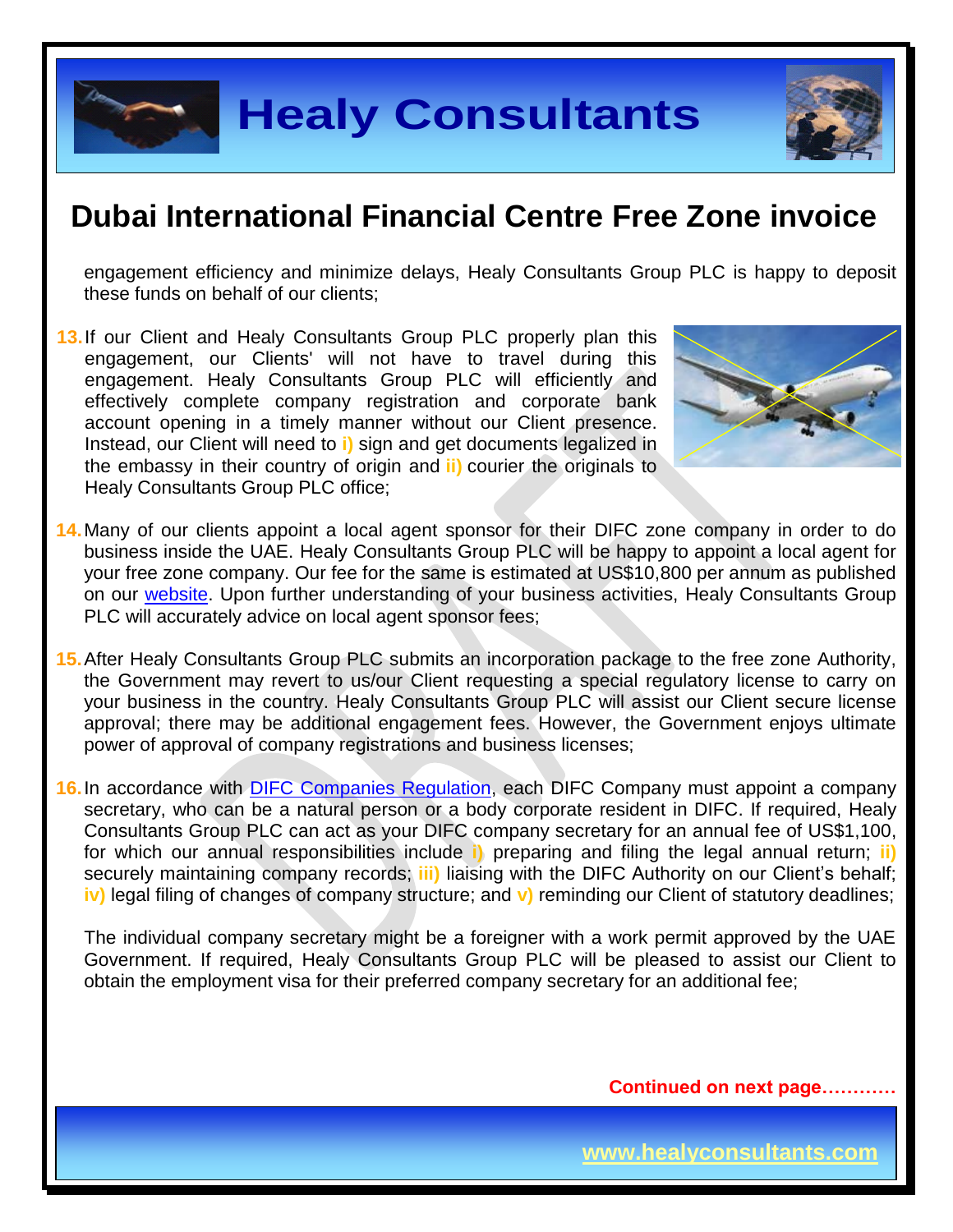

# **Healy Consultants**

### **Dubai International Financial Centre Free Zone invoice**

engagement efficiency and minimize delays, Healy Consultants Group PLC is happy to deposit these funds on behalf of our clients;

13. If our Client and Healy Consultants Group PLC properly plan this engagement, our Clients' will not have to travel during this engagement. Healy Consultants Group PLC will efficiently and effectively complete company registration and corporate bank account opening in a timely manner without our Client presence. Instead, our Client will need to **i)** sign and get documents legalized in the embassy in their country of origin and **ii)** courier the originals to Healy Consultants Group PLC office;



- **14.**Many of our clients appoint a local agent sponsor for their DIFC zone company in order to do business inside the UAE. Healy Consultants Group PLC will be happy to appoint a local agent for your free zone company. Our fee for the same is estimated at US\$10,800 per annum as published on our [website.](http://www.healyconsultants.com/jebel-ali-free-zone/) Upon further understanding of your business activities, Healy Consultants Group PLC will accurately advice on local agent sponsor fees;
- **15.**After Healy Consultants Group PLC submits an incorporation package to the free zone Authority, the Government may revert to us/our Client requesting a special regulatory license to carry on your business in the country. Healy Consultants Group PLC will assist our Client secure license approval; there may be additional engagement fees. However, the Government enjoys ultimate power of approval of company registrations and business licenses;

**16.**In accordance with [DIFC Companies Regulation,](https://www.difc.ae/files/5914/5449/6592/Companies_Regulations.pdf) each DIFC Company must appoint a company secretary, who can be a natural person or a body corporate resident in DIFC. If required, Healy Consultants Group PLC can act as your DIFC company secretary for an annual fee of US\$1,100, for which our annual responsibilities include **i)** preparing and filing the legal annual return; **ii)** securely maintaining company records; **iii)** liaising with the DIFC Authority on our Client's behalf; **iv)** legal filing of changes of company structure; and **v)** reminding our Client of statutory deadlines;

The individual company secretary might be a foreigner with a work permit approved by the UAE Government. If required, Healy Consultants Group PLC will be pleased to assist our Client to obtain the employment visa for their preferred company secretary for an additional fee;

**Continued on next page…………**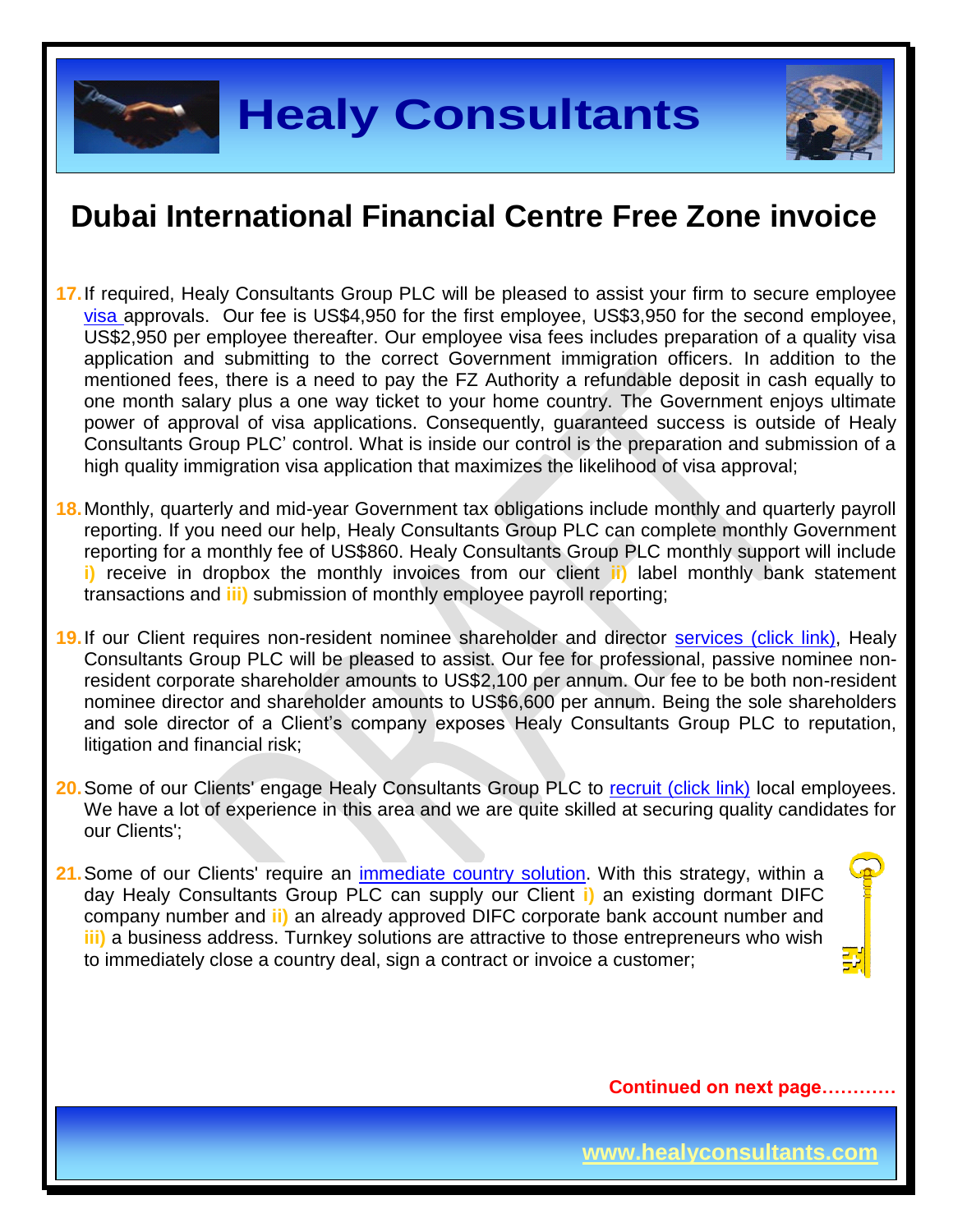

- **17.**If required, Healy Consultants Group PLC will be pleased to assist your firm to secure employee [visa a](http://www.healyconsultants.com/uae-company-registration/employment-visas/)pprovals. Our fee is US\$4,950 for the first employee, US\$3,950 for the second employee, US\$2,950 per employee thereafter. Our employee visa fees includes preparation of a quality visa application and submitting to the correct Government immigration officers. In addition to the mentioned fees, there is a need to pay the FZ Authority a refundable deposit in cash equally to one month salary plus a one way ticket to your home country. The Government enjoys ultimate power of approval of visa applications. Consequently, guaranteed success is outside of Healy Consultants Group PLC' control. What is inside our control is the preparation and submission of a high quality immigration visa application that maximizes the likelihood of visa approval;
- **18.**Monthly, quarterly and mid-year Government tax obligations include monthly and quarterly payroll reporting. If you need our help, Healy Consultants Group PLC can complete monthly Government reporting for a monthly fee of US\$860. Healy Consultants Group PLC monthly support will include **i)** receive in dropbox the monthly invoices from our client **ii)** label monthly bank statement transactions and **iii)** submission of monthly employee payroll reporting;
- **19.**If our Client requires non-resident nominee shareholder and director [services \(click link\),](http://www.healyconsultants.com/corporate-outsourcing-services/nominee-shareholders-directors/) Healy Consultants Group PLC will be pleased to assist. Our fee for professional, passive nominee nonresident corporate shareholder amounts to US\$2,100 per annum. Our fee to be both non-resident nominee director and shareholder amounts to US\$6,600 per annum. Being the sole shareholders and sole director of a Client's company exposes Healy Consultants Group PLC to reputation, litigation and financial risk;
- 20. Some of our Clients' engage Healy Consultants Group PLC to [recruit \(click link\)](http://www.healyconsultants.com/corporate-outsourcing-services/how-we-help-our-clients-recruit-quality-employees/) local employees. We have a lot of experience in this area and we are quite skilled at securing quality candidates for our Clients';
- **21.**Some of our Clients' require an [immediate country](http://www.healyconsultants.com/turnkey-solutions/) solution. With this strategy, within a day Healy Consultants Group PLC can supply our Client **i)** an existing dormant DIFC company number and **ii)** an already approved DIFC corporate bank account number and **iii)** a business address. Turnkey solutions are attractive to those entrepreneurs who wish to immediately close a country deal, sign a contract or invoice a customer;

**Continued on next page…………**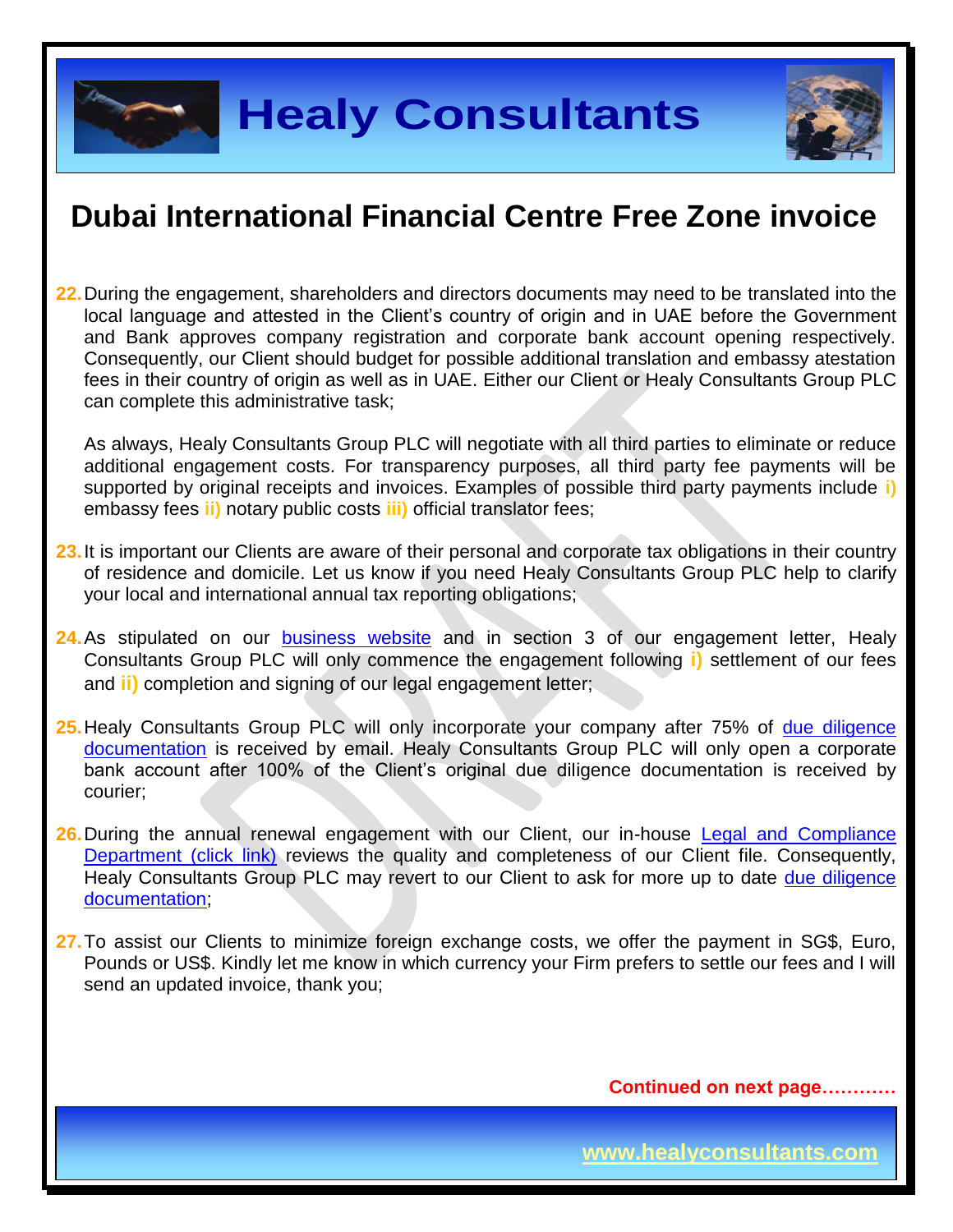

**22.**During the engagement, shareholders and directors documents may need to be translated into the local language and attested in the Client's country of origin and in UAE before the Government and Bank approves company registration and corporate bank account opening respectively. Consequently, our Client should budget for possible additional translation and embassy atestation fees in their country of origin as well as in UAE. Either our Client or Healy Consultants Group PLC can complete this administrative task;

As always, Healy Consultants Group PLC will negotiate with all third parties to eliminate or reduce additional engagement costs. For transparency purposes, all third party fee payments will be supported by original receipts and invoices. Examples of possible third party payments include **i)** embassy fees **ii)** notary public costs **iii)** official translator fees;

- **23.**It is important our Clients are aware of their personal and corporate tax obligations in their country of residence and domicile. Let us know if you need Healy Consultants Group PLC help to clarify your local and international annual tax reporting obligations;
- **24.** As stipulated on our **[business website](http://www.healyconsultants.com/)** and in section 3 of our engagement letter, Healy Consultants Group PLC will only commence the engagement following **i)** settlement of our fees and **ii)** completion and signing of our legal engagement letter;
- **25.**Healy Consultants Group PLC will only incorporate your company after 75% of [due diligence](http://www.healyconsultants.com/due-diligence/)  [documentation](http://www.healyconsultants.com/due-diligence/) is received by email. Healy Consultants Group PLC will only open a corporate bank account after 100% of the Client's original due diligence documentation is received by courier;
- 26. During the annual renewal engagement with our Client, our in-house Legal and Compliance [Department \(click link\)](http://www.healyconsultants.com/about-us/key-personnel/cai-xin-profile/) reviews the quality and completeness of our Client file. Consequently, Healy Consultants Group PLC may revert to our Client to ask for more up to date [due diligence](http://www.healyconsultants.com/due-diligence/)  [documentation;](http://www.healyconsultants.com/due-diligence/)
- **27.**To assist our Clients to minimize foreign exchange costs, we offer the payment in SG\$, Euro, Pounds or US\$. Kindly let me know in which currency your Firm prefers to settle our fees and I will send an updated invoice, thank you;

**Continued on next page…………**